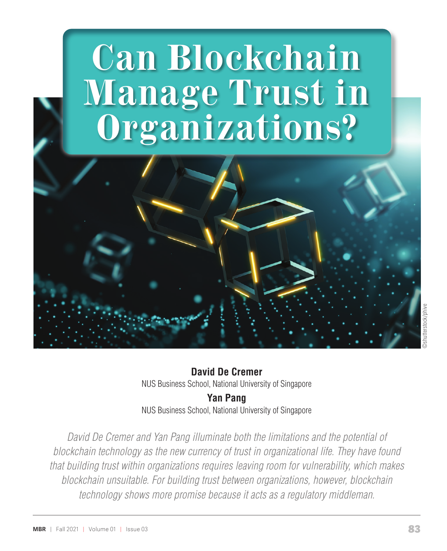# **Can Blockchain Manage Trust in Organizations?**



**David De Cremer** NUS Business School, National University of Singapore **Yan Pang**

NUS Business School, National University of Singapore

*David De Cremer and Yan Pang illuminate both the limitations and the potential of blockchain technology as the new currency of trust in organizational life. They have found that building trust within organizations requires leaving room for vulnerability, which makes blockchain unsuitable. For building trust between organizations, however, blockchain technology shows more promise because it acts as a regulatory middleman.*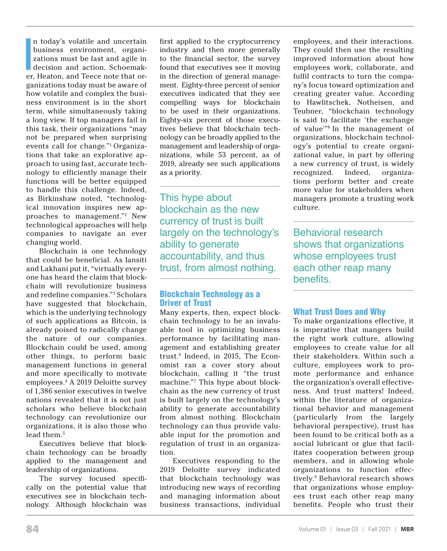I<br>I<br>I<br>I<br>I<br>I n today's volatile and uncertain business environment, organizations must be fast and agile in decision and action. Schoemaker, Heaton, and Teece note that organizations today must be aware of how volatile and complex the business environment is in the short term, while simultaneously taking a long view. If top managers fail in this task, their organizations "may not be prepared when surprising events call for change."1 Organizations that take an explorative approach to using fast, accurate technology to efficiently manage their functions will be better equipped to handle this challenge. Indeed, as Birkinshaw noted, "technological innovation inspires new approaches to management."2 New technological approaches will help companies to navigate an ever changing world.

Blockchain is one technology that could be beneficial. As Iansiti and Lakhani put it, "virtually everyone has heard the claim that blockchain will revolutionize business and redefine companies."3 Scholars have suggested that blockchain, which is the underlying technology of such applications as Bitcoin, is already poised to radically change the nature of our companies. Blockchain could be used, among other things, to perform basic management functions in general and more specifically to motivate employees.4 A 2019 Deloitte survey of 1,386 senior executives in twelve nations revealed that it is not just scholars who believe blockchain technology can revolutionize our organizations, it is also those who lead them.<sup>5</sup>

Executives believe that blockchain technology can be broadly applied to the management and leadership of organizations.

The survey focused specifically on the potential value that executives see in blockchain technology. Although blockchain was first applied to the cryptocurrency industry and then more generally to the financial sector, the survey found that executives see it moving in the direction of general management. Eighty-three percent of senior executives indicated that they see compelling ways for blockchain to be used in their organizations. Eighty-six percent of those executives believe that blockchain technology can be broadly applied to the management and leadership of organizations, while 53 percent, as of 2019, already see such applications as a priority.

This hype about blockchain as the new currency of trust is built largely on the technology's ability to generate accountability, and thus trust, from almost nothing.

#### Blockchain Technology as a Driver of Trust

Many experts, then, expect blockchain technology to be an invaluable tool in optimizing business performance by facilitating management and establishing greater trust.6 Indeed, in 2015, The Economist ran a cover story about blockchain, calling it "the trust machine."7 This hype about blockchain as the new currency of trust is built largely on the technology's ability to generate accountability from almost nothing. Blockchain technology can thus provide valuable input for the promotion and regulation of trust in an organization.

Executives responding to the 2019 Deloitte survey indicated that blockchain technology was introducing new ways of recording and managing information about business transactions, individual

employees, and their interactions. They could then use the resulting improved information about how employees work, collaborate, and fulfil contracts to turn the company's focus toward optimization and creating greater value. According to Hawlitschek, Notheisen, and Teubner, "blockchain technology is said to facilitate 'the exchange of value'"8 In the management of organizations, blockchain technology's potential to create organizational value, in part by offering a new currency of trust, is widely recognized. Indeed, organizations perform better and create more value for stakeholders when managers promote a trusting work culture.

Behavioral research shows that organizations whose employees trust each other reap many benefits.

#### What Trust Does and Why

To make organizations effective, it is imperative that mangers build the right work culture, allowing employees to create value for all their stakeholders. Within such a culture, employees work to promote performance and enhance the organization's overall effectiveness. And trust matters! Indeed, within the literature of organizational behavior and management (particularly from the largely behavioral perspective), trust has been found to be critical both as a social lubricant or glue that facilitates cooperation between group members, and in allowing whole organizations to function effectively.9 Behavioral research shows that organizations whose employees trust each other reap many benefits. People who trust their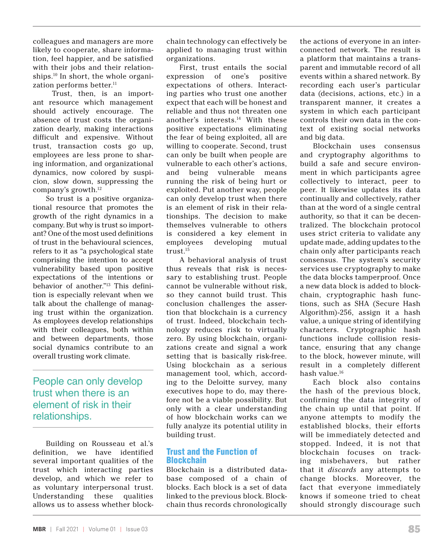colleagues and managers are more likely to cooperate, share information, feel happier, and be satisfied with their jobs and their relationships.10 In short, the whole organization performs better.<sup>11</sup>

 Trust, then, is an important resource which management should actively encourage. The absence of trust costs the organization dearly, making interactions difficult and expensive. Without trust, transaction costs go up, employees are less prone to sharing information, and organizational dynamics, now colored by suspicion, slow down, suppressing the company's growth.12

So trust is a positive organizational resource that promotes the growth of the right dynamics in a company. But why is trust so important? One of the most used definitions of trust in the behavioural sciences, refers to it as "a psychological state comprising the intention to accept vulnerability based upon positive expectations of the intentions or behavior of another."13 This definition is especially relevant when we talk about the challenge of managing trust within the organization. As employees develop relationships with their colleagues, both within and between departments, those social dynamics contribute to an overall trusting work climate.

People can only develop trust when there is an element of risk in their relationships.

Building on Rousseau et al.'s definition, we have identified several important qualities of the trust which interacting parties develop, and which we refer to as voluntary interpersonal trust. Understanding these qualities allows us to assess whether blockchain technology can effectively be applied to managing trust within organizations.

First, trust entails the social expression of one's positive expectations of others. Interacting parties who trust one another expect that each will be honest and reliable and thus not threaten one another's interests.14 With these positive expectations eliminating the fear of being exploited, all are willing to cooperate. Second, trust can only be built when people are vulnerable to each other's actions, and being vulnerable means running the risk of being hurt or exploited. Put another way, people can only develop trust when there is an element of risk in their relationships. The decision to make themselves vulnerable to others is considered a key element in employees developing mutual trust.15

A behavioral analysis of trust thus reveals that risk is necessary to establishing trust. People cannot be vulnerable without risk, so they cannot build trust. This conclusion challenges the assertion that blockchain is a currency of trust. Indeed, blockchain technology reduces risk to virtually zero. By using blockchain, organizations create and signal a work setting that is basically risk-free. Using blockchain as a serious management tool, which, according to the Deloitte survey, many executives hope to do, may therefore not be a viable possibility. But only with a clear understanding of how blockchain works can we fully analyze its potential utility in building trust.

# Trust and the Function of **Blockchain**

Blockchain is a distributed database composed of a chain of blocks. Each block is a set of data linked to the previous block. Blockchain thus records chronologically

the actions of everyone in an interconnected network. The result is a platform that maintains a transparent and immutable record of all events within a shared network. By recording each user's particular data (decisions, actions, etc.) in a transparent manner, it creates a system in which each participant controls their own data in the context of existing social networks and big data.

Blockchain uses consensus and cryptography algorithms to build a safe and secure environment in which participants agree collectively to interact, peer to peer. It likewise updates its data continually and collectively, rather than at the word of a single central authority, so that it can be decentralized. The blockchain protocol uses strict criteria to validate any update made, adding updates to the chain only after participants reach consensus. The system's security services use cryptography to make the data blocks tamperproof. Once a new data block is added to blockchain, cryptographic hash functions, such as SHA (Secure Hash Algorithm)-256, assign it a hash value, a unique string of identifying characters. Cryptographic hash functions include collision resistance, ensuring that any change to the block, however minute, will result in a completely different hash value.16

Each block also contains the hash of the previous block, confirming the data integrity of the chain up until that point. If anyone attempts to modify the established blocks, their efforts will be immediately detected and stopped. Indeed, it is not that blockchain focuses on tracking misbehavers, but rather that it *discards* any attempts to change blocks. Moreover, the fact that everyone immediately knows if someone tried to cheat should strongly discourage such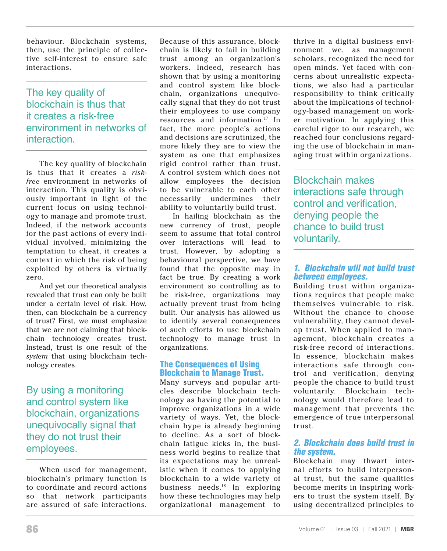behaviour. Blockchain systems, then, use the principle of collective self-interest to ensure safe interactions.

# The key quality of blockchain is thus that it creates a risk-free environment in networks of interaction.

The key quality of blockchain is thus that it creates a *riskfree* environment in networks of interaction. This quality is obviously important in light of the current focus on using technology to manage and promote trust. Indeed, if the network accounts for the past actions of every individual involved, minimizing the temptation to cheat, it creates a context in which the risk of being exploited by others is virtually zero.

And yet our theoretical analysis revealed that trust can only be built under a certain level of risk. How, then, can blockchain be a currency of trust? First, we must emphasize that we are not claiming that blockchain technology creates trust. Instead, trust is one result of the *system* that using blockchain technology creates.

By using a monitoring and control system like blockchain, organizations unequivocally signal that they do not trust their employees.

When used for management, blockchain's primary function is to coordinate and record actions so that network participants are assured of safe interactions.

Because of this assurance, blockchain is likely to fail in building trust among an organization's workers. Indeed, research has shown that by using a monitoring and control system like blockchain, organizations unequivocally signal that they do not trust their employees to use company resources and information.17 In fact, the more people's actions and decisions are scrutinized, the more likely they are to view the system as one that emphasizes rigid control rather than trust. A control system which does not allow employees the decision to be vulnerable to each other necessarily undermines their ability to voluntarily build trust.

In hailing blockchain as the new currency of trust, people seem to assume that total control over interactions will lead to trust. However, by adopting a behavioural perspective, we have found that the opposite may in fact be true. By creating a work environment so controlling as to be risk-free, organizations may actually prevent trust from being built. Our analysis has allowed us to identify several consequences of such efforts to use blockchain technology to manage trust in organizations.

# The Consequences of Using Blockchain to Manage Trust.

Many surveys and popular articles describe blockchain technology as having the potential to improve organizations in a wide variety of ways. Yet, the blockchain hype is already beginning to decline. As a sort of blockchain fatigue kicks in, the business world begins to realize that its expectations may be unrealistic when it comes to applying blockchain to a wide variety of business needs.18 In exploring how these technologies may help organizational management to thrive in a digital business environment we, as management scholars, recognized the need for open minds. Yet faced with concerns about unrealistic expectations, we also had a particular responsibility to think critically about the implications of technology-based management on worker motivation. In applying this careful rigor to our research, we reached four conclusions regarding the use of blockchain in managing trust within organizations.

Blockchain makes interactions safe through control and verification, denying people the chance to build trust voluntarily.

# *1. Blockchain will not build trust between employees.*

Building trust within organizations requires that people make themselves vulnerable to risk. Without the chance to choose vulnerability, they cannot develop trust. When applied to management, blockchain creates a risk-free record of interactions. In essence, blockchain makes interactions safe through control and verification, denying people the chance to build trust voluntarily. Blockchain technology would therefore lead to management that prevents the emergence of true interpersonal trust.

# *2. Blockchain does build trust in the system.*

Blockchain may thwart internal efforts to build interpersonal trust, but the same qualities become merits in inspiring workers to trust the system itself. By using decentralized principles to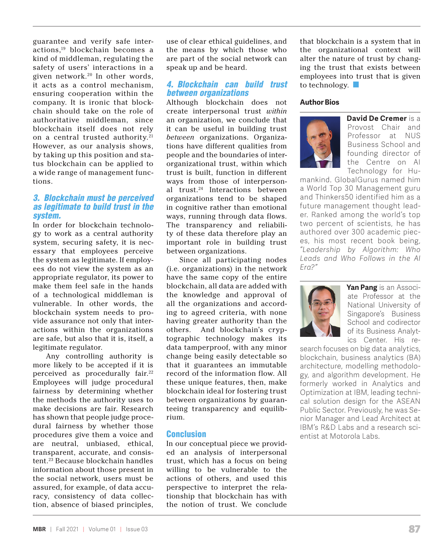guarantee and verify safe interactions,19 blockchain becomes a kind of middleman, regulating the safety of users' interactions in a given network.20 In other words, it acts as a control mechanism, ensuring cooperation within the company. It is ironic that blockchain should take on the role of authoritative middleman, since blockchain itself does not rely on a central trusted authority.<sup>21</sup> However, as our analysis shows, by taking up this position and status blockchain can be applied to a wide range of management functions.

#### *3. Blockchain must be perceived as legitimate to build trust in the system.*

In order for blockchain technology to work as a central authority system, securing safety, it is necessary that employees perceive the system as legitimate. If employees do not view the system as an appropriate regulator, its power to make them feel safe in the hands of a technological middleman is vulnerable. In other words, the blockchain system needs to provide assurance not only that interactions within the organizations are safe, but also that it is, itself, a legitimate regulator.

Any controlling authority is more likely to be accepted if it is perceived as procedurally fair.<sup>22</sup> Employees will judge procedural fairness by determining whether the methods the authority uses to make decisions are fair. Research has shown that people judge procedural fairness by whether those procedures give them a voice and are neutral, unbiased, ethical, transparent, accurate, and consistent.<sup>23</sup> Because blockchain handles information about those present in the social network, users must be assured, for example, of data accuracy, consistency of data collection, absence of biased principles, use of clear ethical guidelines, and the means by which those who are part of the social network can speak up and be heard.

#### *4. Blockchain can build trust between organizations*

Although blockchain does not create interpersonal trust *within* an organization, we conclude that it can be useful in building trust *between* organizations. Organizations have different qualities from people and the boundaries of interorganizational trust, within which trust is built, function in different ways from those of interpersonal trust.24 Interactions between organizations tend to be shaped in cognitive rather than emotional ways, running through data flows. The transparency and reliability of these data therefore play an important role in building trust between organizations.

Since all participating nodes (i.e. organizations) in the network have the same copy of the entire blockchain, all data are added with the knowledge and approval of all the organizations and according to agreed criteria, with none having greater authority than the others. And blockchain's cryptographic technology makes its data tamperproof, with any minor change being easily detectable so that it guarantees an immutable record of the information flow. All these unique features, then, make blockchain ideal for fostering trust between organizations by guaranteeing transparency and equilibrium.

#### Conclusion

In our conceptual piece we provided an analysis of interpersonal trust, which has a focus on being willing to be vulnerable to the actions of others, and used this perspective to interpret the relationship that blockchain has with the notion of trust. We conclude

that blockchain is a system that in the organizational context will alter the nature of trust by changing the trust that exists between employees into trust that is given to technology.  $\Box$ 

#### **Author Bios**



**David De Cremer** is a Provost Chair and Professor at NUS Business School and founding director of the Centre on AI Technology for Hu-

mankind. GlobalGurus named him a World Top 30 Management guru and Thinkers50 identified him as a future management thought leader. Ranked among the world's top two percent of scientists, he has authored over 300 academic pieces, his most recent book being, *"Leadership by Algorithm: Who Leads and Who Follows in the AI Era?"*



**Yan Pang** is an Associate Professor at the National University of Singapore's Business School and codirector of its Business Analytics Center. His re-

search focuses on big data analytics, blockchain, business analytics (BA) architecture, modelling methodology, and algorithm development. He formerly worked in Analytics and Optimization at IBM, leading technical solution design for the ASEAN Public Sector. Previously, he was Senior Manager and Lead Architect at IBM's R&D Labs and a research scientist at Motorola Labs.